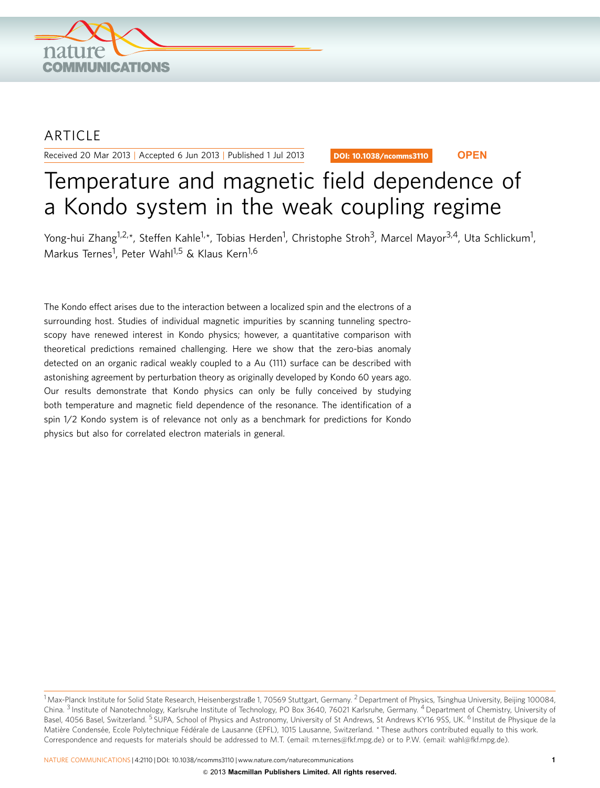

## ARTICLE

Received 20 Mar 2013 | Accepted 6 Jun 2013 | Published 1 Jul 2013

DOI: 10.1038/ncomms3110 **OPEN**

# Temperature and magnetic field dependence of a Kondo system in the weak coupling regime

Yong-hui Zhang<sup>1,2,</sup>\*, Steffen Kahle<sup>1,</sup>\*, Tobias Herden<sup>1</sup>, Christophe Stroh<sup>3</sup>, Marcel Mayor<sup>3,4</sup>, Uta Schlickum<sup>1</sup>, Markus Ternes<sup>1</sup>, Peter Wahl<sup>1,5</sup> & Klaus Kern<sup>1,6</sup>

The Kondo effect arises due to the interaction between a localized spin and the electrons of a surrounding host. Studies of individual magnetic impurities by scanning tunneling spectroscopy have renewed interest in Kondo physics; however, a quantitative comparison with theoretical predictions remained challenging. Here we show that the zero-bias anomaly detected on an organic radical weakly coupled to a Au (111) surface can be described with astonishing agreement by perturbation theory as originally developed by Kondo 60 years ago. Our results demonstrate that Kondo physics can only be fully conceived by studying both temperature and magnetic field dependence of the resonance. The identification of a spin 1/2 Kondo system is of relevance not only as a benchmark for predictions for Kondo physics but also for correlated electron materials in general.

 $^1$ Max-Planck Institute for Solid State Research, Heisenbergstraße 1, 70569 Stuttgart, Germany.  $^2$  Department of Physics, Tsinghua University, Beijing 100084, China. <sup>3</sup> Institute of Nanotechnology, Karlsruhe Institute of Technology, PO Box 3640, 76021 Karlsruhe, Germany. <sup>4</sup> Department of Chemistry, University of Basel, 4056 Basel, Switzerland. <sup>5</sup> SUPA, School of Physics and Astronomy, University of St Andrews, St Andrews KY16 9SS, UK. <sup>6</sup> Institut de Physique de la Matière Condensée, Ecole Polytechnique Fédérale de Lausanne (EPFL), 1015 Lausanne, Switzerland. \* These authors contributed equally to this work. Correspondence and requests for materials should be addressed to M.T. (email: m.ternes@fkf.mpg.de) or to P.W. (email: wahl@fkf.mpg.de).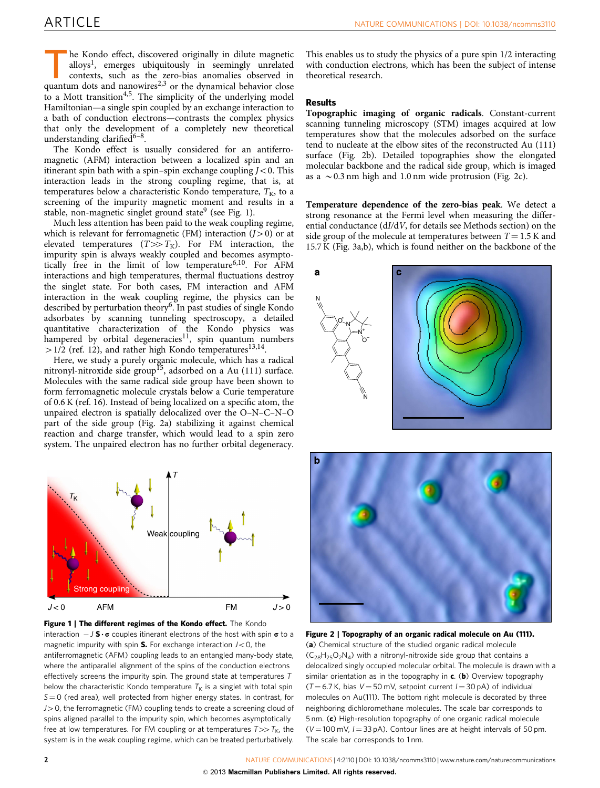<span id="page-1-0"></span>The Kondo effect, discovered originally in dilute magnetic<br>alloys<sup>1</sup>, emerges ubiquitously in seemingly unrelated<br>contexts, such as the zero-bias anomalies observed in<br>quantum dots and nanowires<sup>2,3</sup> or the dynamical behav alloys<sup>1</sup>, emerges ubiquitously in seemingly unrelated contexts, such as the zero-bias anomalies observed in quantum dots and nanowires $2,3$  or the dynamical behavior close to a Mott transition<sup>4,5</sup>. The simplicity of the underlying model Hamiltonian—a single spin coupled by an exchange interaction to a bath of conduction electrons—contrasts the complex physics that only the development of a completely new theoretical understanding clarified $6-8$ .

The Kondo effect is usually considered for an antiferromagnetic (AFM) interaction between a localized spin and an itinerant spin bath with a spin–spin exchange coupling  $J < 0$ . This interaction leads in the strong coupling regime, that is, at temperatures below a characteristic Kondo temperature,  $T_K$ , to a screening of the impurity magnetic moment and results in a stable, non-magnetic singlet ground state<sup>[9](#page-4-0)</sup> (see Fig. 1).

Much less attention has been paid to the weak coupling regime, which is relevant for ferromagnetic (FM) interaction  $(J>0)$  or at elevated temperatures  $(T \gg T_K)$ . For FM interaction, the impurity spin is always weakly coupled and becomes asympto-tically free in the limit of low temperature<sup>[6,10](#page-4-0)</sup>. For AFM interactions and high temperatures, thermal fluctuations destroy the singlet state. For both cases, FM interaction and AFM interaction in the weak coupling regime, the physics can be described by perturbation theory[6.](#page-4-0) In past studies of single Kondo adsorbates by scanning tunneling spectroscopy, a detailed quantitative characterization of the Kondo physics was hampered by orbital degeneracies<sup>[11](#page-4-0)</sup>, spin quantum numbers  $>1/2$  ([ref. 12](#page-4-0)), and rather high Kondo temperatures<sup>13,14</sup>.

Here, we study a purely organic molecule, which has a radical nitronyl-nitroxide side group<sup>[15](#page-4-0)</sup>, adsorbed on a Au  $(111)$  surface. Molecules with the same radical side group have been shown to form ferromagnetic molecule crystals below a Curie temperature of 0.6 K [\(ref. 16\)](#page-4-0). Instead of being localized on a specific atom, the unpaired electron is spatially delocalized over the O–N–C–N–O part of the side group (Fig. 2a) stabilizing it against chemical reaction and charge transfer, which would lead to a spin zero system. The unpaired electron has no further orbital degeneracy.



Figure 1 | The different regimes of the Kondo effect. The Kondo interaction  $-J S \cdot \sigma$  couples itinerant electrons of the host with spin  $\sigma$  to a magnetic impurity with spin S. For exchange interaction  $J<$  0, the antiferromagnetic (AFM) coupling leads to an entangled many-body state, where the antiparallel alignment of the spins of the conduction electrons effectively screens the impurity spin. The ground state at temperatures T below the characteristic Kondo temperature  $T_K$  is a singlet with total spin  $S = 0$  (red area), well protected from higher energy states. In contrast, for  $J>0$ , the ferromagnetic (FM) coupling tends to create a screening cloud of spins aligned parallel to the impurity spin, which becomes asymptotically free at low temperatures. For FM coupling or at temperatures  $T \gg T_{K}$ , the system is in the weak coupling regime, which can be treated perturbatively.

This enables us to study the physics of a pure spin 1/2 interacting with conduction electrons, which has been the subject of intense theoretical research.

### **Results**

Topographic imaging of organic radicals. Constant-current scanning tunneling microscopy (STM) images acquired at low temperatures show that the molecules adsorbed on the surface tend to nucleate at the elbow sites of the reconstructed Au (111) surface (Fig. 2b). Detailed topographies show the elongated molecular backbone and the radical side group, which is imaged as a  $\sim$  0.3 nm high and 1.0 nm wide protrusion (Fig. 2c).

Temperature dependence of the zero-bias peak. We detect a strong resonance at the Fermi level when measuring the differential conductance (dI/dV, for details see Methods section) on the side group of the molecule at temperatures between  $T = 1.5$  K and 15.7 K [\(Fig. 3a,b](#page-2-0)), which is found neither on the backbone of the





Figure 2 | Topography of an organic radical molecule on Au (111). (a) Chemical structure of the studied organic radical molecule  $(C_{28}H_{25}O_2N_4)$  with a nitronyl-nitroxide side group that contains a delocalized singly occupied molecular orbital. The molecule is drawn with a similar orientation as in the topography in  $c$ . (b) Overview topography ( $T = 6.7$  K, bias  $V = 50$  mV, setpoint current  $I = 30$  pA) of individual molecules on Au(111). The bottom right molecule is decorated by three neighboring dichloromethane molecules. The scale bar corresponds to 5 nm. (c) High-resolution topography of one organic radical molecule  $(V = 100 \text{ mV}, I = 33 \text{ pA})$ . Contour lines are at height intervals of 50 pm. The scale bar corresponds to 1 nm.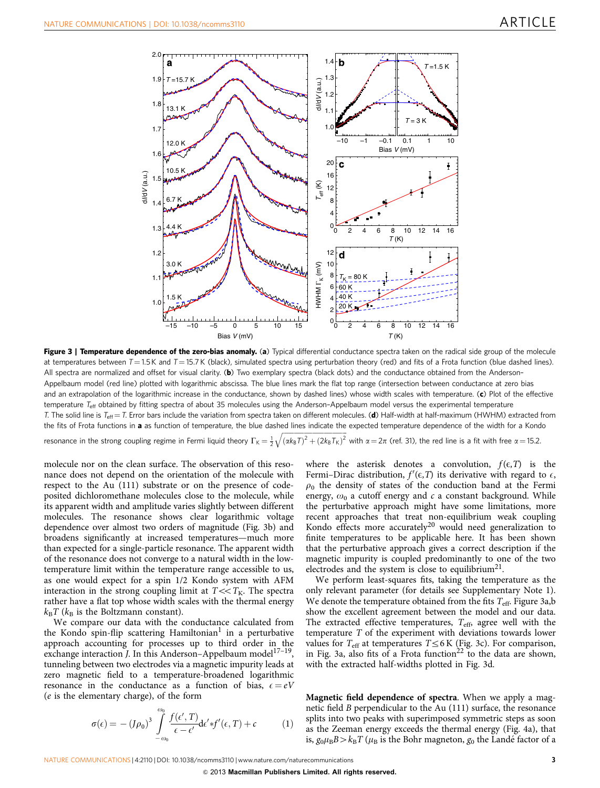<span id="page-2-0"></span>

Figure 3 | Temperature dependence of the zero-bias anomaly. (a) Typical differential conductance spectra taken on the radical side group of the molecule at temperatures between  $T = 1.5$  K and  $T = 15.7$  K (black), simulated spectra using perturbation theory (red) and fits of a Frota function (blue dashed lines). All spectra are normalized and offset for visual clarity. (b) Two exemplary spectra (black dots) and the conductance obtained from the Anderson-Appelbaum model (red line) plotted with logarithmic abscissa. The blue lines mark the flat top range (intersection between conductance at zero bias and an extrapolation of the logarithmic increase in the conductance, shown by dashed lines) whose width scales with temperature. (c) Plot of the effective temperature  $T_{\text{eff}}$  obtained by fitting spectra of about 35 molecules using the Anderson-Appelbaum model versus the experimental temperature T. The solid line is T<sub>eff</sub> = T. Error bars include the variation from spectra taken on different molecules. (d) Half-width at half-maximum (HWHM) extracted from the fits of Frota functions in a as function of temperature, the blue dashed lines indicate the expected temperature dependence of the width for a Kondo ffifififififififififififi $\frac{1}{\sqrt{2}}$ 

resonance in the strong coupling regime in Fermi liquid theory  $\Gamma_{\mathsf{K}}\!=\!\frac{1}{2}$  $\sqrt{( \alpha k_{\text{B}} T)^2 + (2k_{\text{B}} T_{\text{K}})^2}$ with  $\alpha = 2\pi$  ([ref. 31\)](#page-4-0), the red line is a fit with free  $\alpha = 15.2$ .

molecule nor on the clean surface. The observation of this resonance does not depend on the orientation of the molecule with respect to the Au (111) substrate or on the presence of codeposited dichloromethane molecules close to the molecule, while its apparent width and amplitude varies slightly between different molecules. The resonance shows clear logarithmic voltage dependence over almost two orders of magnitude (Fig. 3b) and broadens significantly at increased temperatures—much more than expected for a single-particle resonance. The apparent width of the resonance does not converge to a natural width in the lowtemperature limit within the temperature range accessible to us, as one would expect for a spin 1/2 Kondo system with AFM interaction in the strong coupling limit at  $T \ll T_K$ . The spectra rather have a flat top whose width scales with the thermal energy  $k_{\text{B}}T$  ( $k_{\text{B}}$  is the Boltzmann constant).

We compare our data with the conductance calculated from the Kondo spin-flip scattering Hamiltonian<sup>1</sup> in a perturbative approach accounting for processes up to third order in the exchange interaction *J*. In this Anderson–Appelbaum model<sup>17–19</sup>, tunneling between two electrodes via a magnetic impurity leads at zero magnetic field to a temperature-broadened logarithmic resonance in the conductance as a function of bias,  $\epsilon = eV$ (e is the elementary charge), of the form

$$
\sigma(\epsilon) = - (J\rho_0)^3 \int_{-\omega_0}^{\omega_0} \frac{f(\epsilon', T)}{\epsilon - \epsilon'} d\epsilon' * f'(\epsilon, T) + c \tag{1}
$$

where the asterisk denotes a convolution,  $f(\epsilon,T)$  is the Fermi–Dirac distribution,  $f'(\epsilon, T)$  its derivative with regard to  $\epsilon$ ,  $\rho_0$  the density of states of the conduction band at the Fermi energy,  $\omega_0$  a cutoff energy and c a constant background. While the perturbative approach might have some limitations, more recent approaches that treat non-equilibrium weak coupling Kondo effects more accurately<sup>[20](#page-4-0)</sup> would need generalization to finite temperatures to be applicable here. It has been shown that the perturbative approach gives a correct description if the magnetic impurity is coupled predominantly to one of the two electrodes and the system is close to equilibrium<sup>[21](#page-4-0)</sup>.

We perform least-squares fits, taking the temperature as the only relevant parameter (for details see Supplementary Note 1). We denote the temperature obtained from the fits  $T_{\text{eff}}$ . Figure 3a,b show the excellent agreement between the model and our data. The extracted effective temperatures,  $T_{\text{eff}}$  agree well with the temperature T of the experiment with deviations towards lower values for  $T_{\text{eff}}$  at temperatures  $T \leq 6$  K (Fig. 3c). For comparison, in Fig. 3a, also fits of a Frota function<sup>[22](#page-4-0)</sup> to the data are shown, with the extracted half-widths plotted in Fig. 3d.

Magnetic field dependence of spectra. When we apply a magnetic field B perpendicular to the Au (111) surface, the resonance splits into two peaks with superimposed symmetric steps as soon as the Zeeman energy exceeds the thermal energy ([Fig. 4a](#page-3-0)), that is,  $g_0\mu_B B > k_B T$  ( $\mu_B$  is the Bohr magneton,  $g_0$  the Lande´ factor of a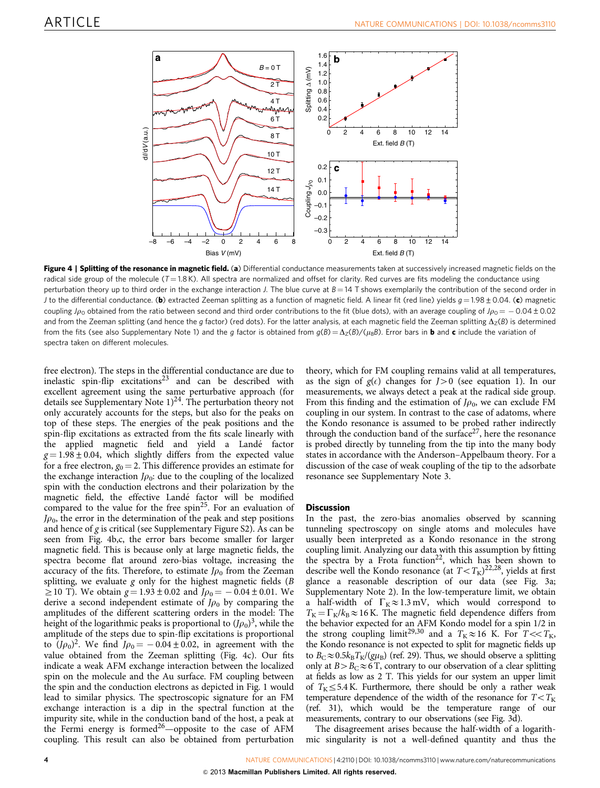<span id="page-3-0"></span>

Figure 4 | Splitting of the resonance in magnetic field. (a) Differential conductance measurements taken at successively increased magnetic fields on the radical side group of the molecule  $(T = 1.8 K)$ . All spectra are normalized and offset for clarity. Red curves are fits modeling the conductance using perturbation theory up to third order in the exchange interaction J. The blue curve at  $B = 14$  T shows exemplarily the contribution of the second order in J to the differential conductance. (b) extracted Zeeman splitting as a function of magnetic field. A linear fit (red line) yields  $g = 1.98 \pm 0.04$ . (c) magnetic coupling  $J\rho_0$  obtained from the ratio between second and third order contributions to the fit (blue dots), with an average coupling of  $J\rho_0 = -$  0.04 ± 0.02 and from the Zeeman splitting (and hence the g factor) (red dots). For the latter analysis, at each magnetic field the Zeeman splitting  $\Delta_Z(B)$  is determined from the fits (see also Supplementary Note 1) and the q factor is obtained from  $q(B) = \Delta_Z(B)/(µ_B B)$ . Error bars in **b** and c include the variation of spectra taken on different molecules.

free electron). The steps in the differential conductance are due to inelastic spin-flip excitations<sup>[23](#page-4-0)</sup> and can be described with excellent agreement using the same perturbative approach (for details see Supplementary Note  $1)^{24}$ . The perturbation theory not only accurately accounts for the steps, but also for the peaks on top of these steps. The energies of the peak positions and the spin-flip excitations as extracted from the fits scale linearly with the applied magnetic field and yield a Landé factor  $g = 1.98 \pm 0.04$ , which slightly differs from the expected value for a free electron,  $g_0 = 2$ . This difference provides an estimate for the exchange interaction  $J\rho_0$ : due to the coupling of the localized spin with the conduction electrons and their polarization by the magnetic field, the effective Landé factor will be modified compared to the value for the free  $spin<sup>25</sup>$  $spin<sup>25</sup>$  $spin<sup>25</sup>$ . For an evaluation of  $J\rho_0$ , the error in the determination of the peak and step positions and hence of  $g$  is critical (see Supplementary Figure S2). As can be seen from Fig. 4b,c, the error bars become smaller for larger magnetic field. This is because only at large magnetic fields, the spectra become flat around zero-bias voltage, increasing the accuracy of the fits. Therefore, to estimate  $J\rho_0$  from the Zeeman splitting, we evaluate  $g$  only for the highest magnetic fields ( $B$  $\geq$  10 T). We obtain  $g = 1.93 \pm 0.02$  and  $J\rho_0 = -0.04 \pm 0.01$ . We derive a second independent estimate of  $J\rho_0$  by comparing the amplitudes of the different scattering orders in the model: The height of the logarithmic peaks is proportional to  $(J\rho_0)^3$ , while the amplitude of the steps due to spin-flip excitations is proportional to  $(J\rho_0)^2$ . We find  $J\rho_0 = -0.04 \pm 0.02$ , in agreement with the value obtained from the Zeeman splitting (Fig. 4c). Our fits indicate a weak AFM exchange interaction between the localized spin on the molecule and the Au surface. FM coupling between the spin and the conduction electrons as depicted in [Fig. 1](#page-1-0) would lead to similar physics. The spectroscopic signature for an FM exchange interaction is a dip in the spectral function at the impurity site, while in the conduction band of the host, a peak at the Fermi energy is formed<sup>26</sup>—opposite to the case of AFM coupling. This result can also be obtained from perturbation

theory, which for FM coupling remains valid at all temperatures, as the sign of  $g(\epsilon)$  changes for  $J>0$  (see equation 1). In our measurements, we always detect a peak at the radical side group. From this finding and the estimation of  $J\rho_0$ , we can exclude FM coupling in our system. In contrast to the case of adatoms, where the Kondo resonance is assumed to be probed rather indirectly through the conduction band of the surface<sup>27</sup>, here the resonance is probed directly by tunneling from the tip into the many body states in accordance with the Anderson–Appelbaum theory. For a discussion of the case of weak coupling of the tip to the adsorbate resonance see Supplementary Note 3.

#### **Discussion**

In the past, the zero-bias anomalies observed by scanning tunneling spectroscopy on single atoms and molecules have usually been interpreted as a Kondo resonance in the strong coupling limit. Analyzing our data with this assumption by fitting the spectra by a Frota function<sup>[22](#page-4-0)</sup>, which has been shown to describe well the Kondo resonance (at  $T < T_K$ )<sup>22,28</sup>, yields at first glance a reasonable description of our data (see [Fig. 3a;](#page-2-0) Supplementary Note 2). In the low-temperature limit, we obtain a half-width of  $\Gamma_K \approx 1.3$  mV, which would correspond to  $T_{\rm K}$  =  $\Gamma_{\rm K}/k_{\rm B}$   $\approx$  16 K. The magnetic field dependence differs from the behavior expected for an AFM Kondo model for a spin 1/2 in the strong coupling limit<sup>[29,30](#page-4-0)</sup> and a  $T_K \approx 16$  K. For  $T \ll T_K$ , the Kondo resonance is not expected to split for magnetic fields up to  $B_C \approx 0.5k_BT_K/(g\mu_B)$  [\(ref. 29](#page-4-0)). Thus, we should observe a splitting only at  $B > B_C \approx 6$  T, contrary to our observation of a clear splitting at fields as low as 2 T. This yields for our system an upper limit of  $T_K \leq 5.4$  K. Furthermore, there should be only a rather weak temperature dependence of the width of the resonance for  $T < T_K$ ([ref. 31](#page-4-0)), which would be the temperature range of our measurements, contrary to our observations (see [Fig. 3d\)](#page-2-0).

The disagreement arises because the half-width of a logarithmic singularity is not a well-defined quantity and thus the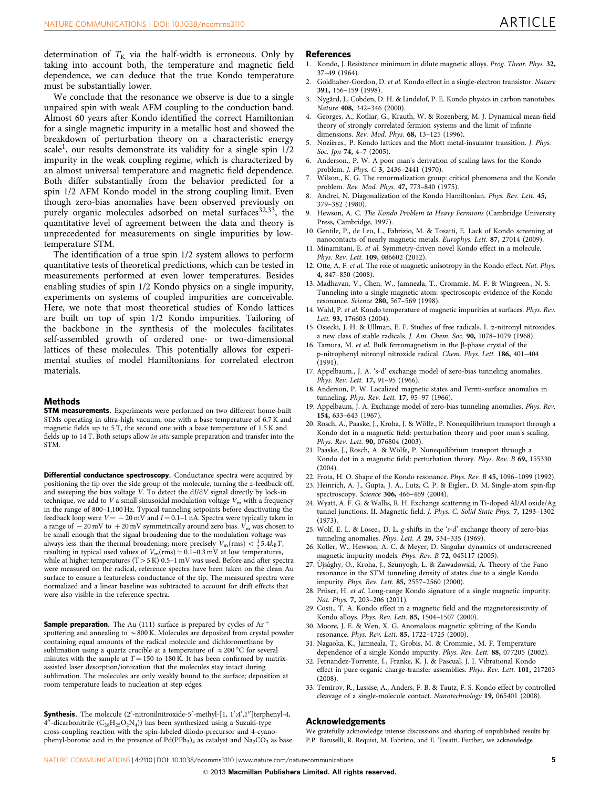<span id="page-4-0"></span>determination of  $T_K$  via the half-width is erroneous. Only by taking into account both, the temperature and magnetic field dependence, we can deduce that the true Kondo temperature must be substantially lower.

We conclude that the resonance we observe is due to a single unpaired spin with weak AFM coupling to the conduction band. Almost 60 years after Kondo identified the correct Hamiltonian for a single magnetic impurity in a metallic host and showed the breakdown of perturbation theory on a characteristic energy scale<sup>1</sup>, our results demonstrate its validity for a single spin  $1/2$ impurity in the weak coupling regime, which is characterized by an almost universal temperature and magnetic field dependence. Both differ substantially from the behavior predicted for a spin 1/2 AFM Kondo model in the strong coupling limit. Even though zero-bias anomalies have been observed previously on purely organic molecules adsorbed on metal surfaces<sup>32,33</sup>, the quantitative level of agreement between the data and theory is unprecedented for measurements on single impurities by lowtemperature STM.

The identification of a true spin 1/2 system allows to perform quantitative tests of theoretical predictions, which can be tested in measurements performed at even lower temperatures. Besides enabling studies of spin 1/2 Kondo physics on a single impurity, experiments on systems of coupled impurities are conceivable. Here, we note that most theoretical studies of Kondo lattices are built on top of spin 1/2 Kondo impurities. Tailoring of the backbone in the synthesis of the molecules facilitates self-assembled growth of ordered one- or two-dimensional lattices of these molecules. This potentially allows for experimental studies of model Hamiltonians for correlated electron materials.

#### Methods

**STM measurements.** Experiments were performed on two different home-built STMs operating in ultra-high vacuum, one with a base temperature of 6.7 K and magnetic fields up to 5 T, the second one with a base temperature of 1.5 K and fields up to 14 T. Both setups allow in situ sample preparation and transfer into the STM.

Differential conductance spectroscopy. Conductance spectra were acquired by positioning the tip over the side group of the molecule, turning the z-feedback off, and sweeping the bias voltage V. To detect the dI/dV signal directly by lock-in technique, we add to  $V$  a small sinusoidal modulation voltage  $V<sub>m</sub>$  with a frequency in the range of 800–1,100 Hz. Typical tunneling setpoints before deactivating the feedback loop were  $V = -20 \,\mathrm{mV}$  and  $I = 0.1$ –1 nA. Spectra were typically taken in a range of  $\,$  – 20 mV to  $\,$  + 20 mV symmetrically around zero bias.  $V_{\rm m}$  was chosen to be small enough that the signal broadening due to the modulation voltage was always less than the thermal broadening; more precisely  $V_m(rms) < \frac{1}{2}5.4k_BT$ , resulting in typical used values of  $V_m(rms) = 0.1 - 0.3$  mV at low temperatures, while at higher temperatures (T  $>$  5 K) 0.5–1 mV was used. Before and after spectra were measured on the radical, reference spectra have been taken on the clean Au surface to ensure a featureless conductance of the tip. The measured spectra were normalized and a linear baseline was subtracted to account for drift effects that were also visible in the reference spectra.

**Sample preparation.** The Au (111) surface is prepared by cycles of  $Ar$ <sup>+</sup> sputtering and annealing to  $\sim$  800 K. Molecules are deposited from crystal powder containing equal amounts of the radical molecule and dichloromethane by sublimation using a quartz crucible at a temperature of  $\approx$  200 °C for several minutes with the sample at  $T = 150$  to 180 K. It has been confirmed by matrixassisted laser desorption/ionization that the molecules stay intact during sublimation. The molecules are only weakly bound to the surface; deposition at room temperature leads to nucleation at step edges.

Synthesis. The molecule (2'-nitronilnitroxide-5'-methyl-[1, 1';4',1"]terphenyl-4, 4"-dicarbonitrile  $(C_{28}H_{25}O_2N_4)$ ) has been synthesized using a Suzuki-type cross-coupling reaction with the spin-labeled diiodo-precursor and 4-cyanophenyl-boronic acid in the presence of  $Pd(PPh<sub>3</sub>)<sub>4</sub>$  as catalyst and  $Na<sub>2</sub>CO<sub>3</sub>$  as base.

#### **References**

- 1. Kondo, J. Resistance minimum in dilute magnetic alloys. Prog. Theor. Phys. 32, 37–49 (1964).
- 2. Goldhaber-Gordon, D. et al. Kondo effect in a single-electron transistor. Nature 391, 156–159 (1998).
- Nygård, J., Cobden, D. H. & Lindelof, P. E. Kondo physics in carbon nanotubes. Nature 408, 342–346 (2000).
- 4. Georges, A., Kotliar, G., Krauth, W. & Rozenberg, M. J. Dynamical mean-field theory of strongly correlated fermion systems and the limit of infinite dimensions. Rev. Mod. Phys. 68, 13–125 (1996).
- 5. Nozières., P. Kondo lattices and the Mott metal-insulator transition. J. Phys. Soc. Jpn 74, 4-7 (2005).
- 6. Anderson., P. W. A poor man's derivation of scaling laws for the Kondo problem. J. Phys. C 3, 2436–2441 (1970).
- Wilson., K. G. The renormalization group: critical phenomena and the Kondo problem. Rev. Mod. Phys. 47, 773–840 (1975).
- 8. Andrei, N. Diagonalization of the Kondo Hamiltonian. Phys. Rev. Lett. 45, 379–382 (1980).
- 9. Hewson, A. C. The Kondo Problem to Heavy Fermions (Cambridge University Press, Cambridge, 1997).
- 10. Gentile, P., de Leo, L., Fabrizio, M. & Tosatti, E. Lack of Kondo screening at nanocontacts of nearly magnetic metals. Europhys. Lett. 87, 27014 (2009).
- 11. Minamitani, E. et al. Symmetry-driven novel Kondo effect in a molecule. Phys. Rev. Lett. 109, 086602 (2012).
- 12. Otte, A. F. et al. The role of magnetic anisotropy in the Kondo effect. Nat. Phys. 4, 847–850 (2008).
- 13. Madhavan, V., Chen, W., Jamneala, T., Crommie, M. F. & Wingreen., N. S. Tunneling into a single magnetic atom: spectroscopic evidence of the Kondo resonance. Science 280, 567–569 (1998).
- 14. Wahl, P. et al. Kondo temperature of magnetic impurities at surfaces. Phys. Rev. Lett. 93, 176603 (2004).
- 15. Osiecki, J. H. & Ullman, E. F. Studies of free radicals. I. a-nitronyl nitroxides, a new class of stable radicals. J. Am. Chem. Soc. 90, 1078–1079 (1968).
- 16. Tamura, M. et al. Bulk ferromagnetism in the  $\beta$ -phase crystal of the p-nitrophenyl nitronyl nitroxide radical. Chem. Phys. Lett. 186, 401–404 (1991).
- 17. Appelbaum., J. A. 's-d' exchange model of zero-bias tunneling anomalies. Phys. Rev. Lett. 17, 91–95 (1966).
- 18. Anderson, P. W. Localized magnetic states and Fermi-surface anomalies in tunneling. Phys. Rev. Lett. 17, 95-97 (1966).
- 19. Appelbaum, J. A. Exchange model of zero-bias tunneling anomalies. Phys. Rev. 154, 633–643 (1967).
- 20. Rosch, A., Paaske, J., Kroha, J. & Wölfe., P. Nonequilibrium transport through a Kondo dot in a magnetic field: perturbation theory and poor man's scaling. Phys. Rev. Lett. 90, 076804 (2003).
- 21. Paaske, J., Rosch, A. & Wölfe, P. Nonequilibrium transport through a Kondo dot in a magnetic field: perturbation theory. Phys. Rev. B 69, 155330  $(2004)$ .
- 22. Frota, H. O. Shape of the Kondo resonance. Phys. Rev. B 45, 1096–1099 (1992).
- 23. Heinrich, A. J., Gupta, J. A., Lutz, C. P. & Eigler., D. M. Single-atom spin-flip spectroscopy. Science 306, 466–469 (2004).
- 24. Wyatt, A. F. G. & Wallis, R. H. Exchange scattering in Ti-doped Al/Al oxide/Ag tunnel junctions. II. Magnetic field. J. Phys. C. Solid State Phys. 7, 1293–1302 (1973).
- 25. Wolf, E. L. & Losee., D. L. g-shifts in the 's-d' exchange theory of zero-bias tunneling anomalies. Phys. Lett. A 29, 334–335 (1969).
- 26. Koller, W., Hewson, A. C. & Meyer, D. Singular dynamics of underscreened magnetic impurity models. Phys. Rev. B 72, 045117 (2005).
- 27. Újsághy, O., Kroha, J., Szunyogh, L. & Zawadowski, A. Theory of the Fano resonance in the STM tunneling density of states due to a single Kondo impurity. Phys. Rev. Lett. 85, 2557–2560 (2000).
- 28. Prüser, H. et al. Long-range Kondo signature of a single magnetic impurity. Nat. Phys. 7, 203–206 (2011).
- 29. Costi., T. A. Kondo effect in a magnetic field and the magnetoresistivity of Kondo alloys. Phys. Rev. Lett. 85, 1504–1507 (2000).
- 30. Moore, J. E. & Wen, X. G. Anomalous magnetic splitting of the Kondo resonance. Phys. Rev. Lett. 85, 1722–1725 (2000).
- 31. Nagaoka, K., Jamneala, T., Grobis, M. & Crommie., M. F. Temperature dependence of a single Kondo impurity. Phys. Rev. Lett. 88, 077205 (2002).
- 32. Fernandez-Torrente, I., Franke, K. J. & Pascual, J. I. Vibrational Kondo effect in pure organic charge-transfer assemblies. Phys. Rev. Lett. 101, 217203 (2008).
- 33. Temirov, R., Lassise, A., Anders, F. B. & Tautz, F. S. Kondo effect by controlled cleavage of a single-molecule contact. Nanotechnology 19, 065401 (2008).

#### Acknowledgements

We gratefully acknowledge intense discussions and sharing of unpublished results by P.P. Baruselli, R. Requist, M. Fabrizio, and E. Tosatti. Further, we acknowledge